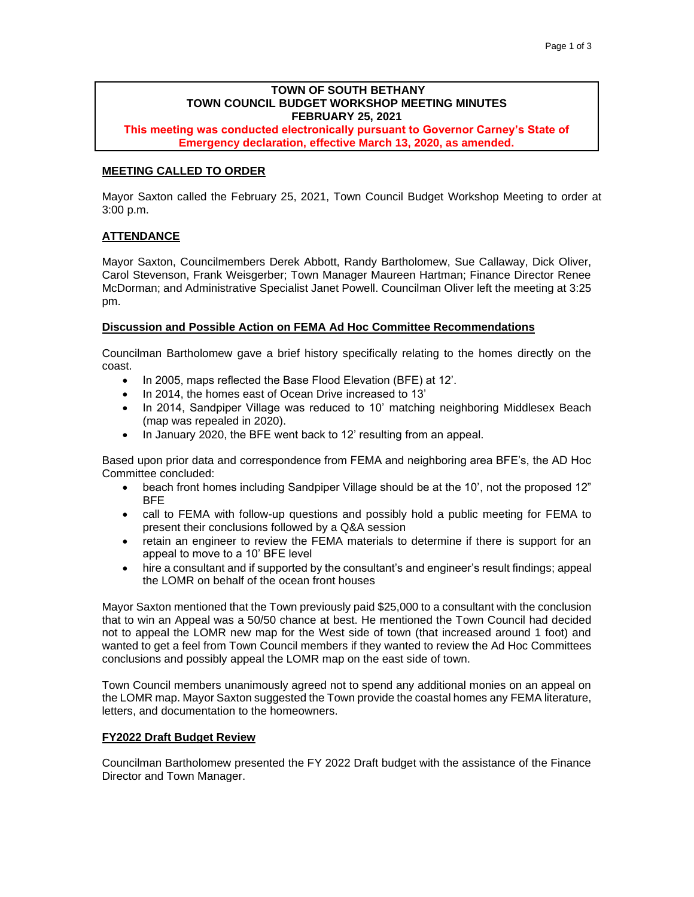# **TOWN OF SOUTH BETHANY TOWN COUNCIL BUDGET WORKSHOP MEETING MINUTES FEBRUARY 25, 2021**

**This meeting was conducted electronically pursuant to Governor Carney's State of Emergency declaration, effective March 13, 2020, as amended.**

## **MEETING CALLED TO ORDER**

Mayor Saxton called the February 25, 2021, Town Council Budget Workshop Meeting to order at 3:00 p.m.

### **ATTENDANCE**

Mayor Saxton, Councilmembers Derek Abbott, Randy Bartholomew, Sue Callaway, Dick Oliver, Carol Stevenson, Frank Weisgerber; Town Manager Maureen Hartman; Finance Director Renee McDorman; and Administrative Specialist Janet Powell. Councilman Oliver left the meeting at 3:25 pm.

#### **Discussion and Possible Action on FEMA Ad Hoc Committee Recommendations**

Councilman Bartholomew gave a brief history specifically relating to the homes directly on the coast.

- In 2005, maps reflected the Base Flood Elevation (BFE) at 12'.
- In 2014, the homes east of Ocean Drive increased to 13'
- In 2014, Sandpiper Village was reduced to 10' matching neighboring Middlesex Beach (map was repealed in 2020).
- In January 2020, the BFE went back to 12' resulting from an appeal.

Based upon prior data and correspondence from FEMA and neighboring area BFE's, the AD Hoc Committee concluded:

- beach front homes including Sandpiper Village should be at the 10', not the proposed 12" BFE
- call to FEMA with follow-up questions and possibly hold a public meeting for FEMA to present their conclusions followed by a Q&A session
- retain an engineer to review the FEMA materials to determine if there is support for an appeal to move to a 10' BFE level
- hire a consultant and if supported by the consultant's and engineer's result findings; appeal the LOMR on behalf of the ocean front houses

Mayor Saxton mentioned that the Town previously paid \$25,000 to a consultant with the conclusion that to win an Appeal was a 50/50 chance at best. He mentioned the Town Council had decided not to appeal the LOMR new map for the West side of town (that increased around 1 foot) and wanted to get a feel from Town Council members if they wanted to review the Ad Hoc Committees conclusions and possibly appeal the LOMR map on the east side of town.

Town Council members unanimously agreed not to spend any additional monies on an appeal on the LOMR map. Mayor Saxton suggested the Town provide the coastal homes any FEMA literature, letters, and documentation to the homeowners.

#### **FY2022 Draft Budget Review**

Councilman Bartholomew presented the FY 2022 Draft budget with the assistance of the Finance Director and Town Manager.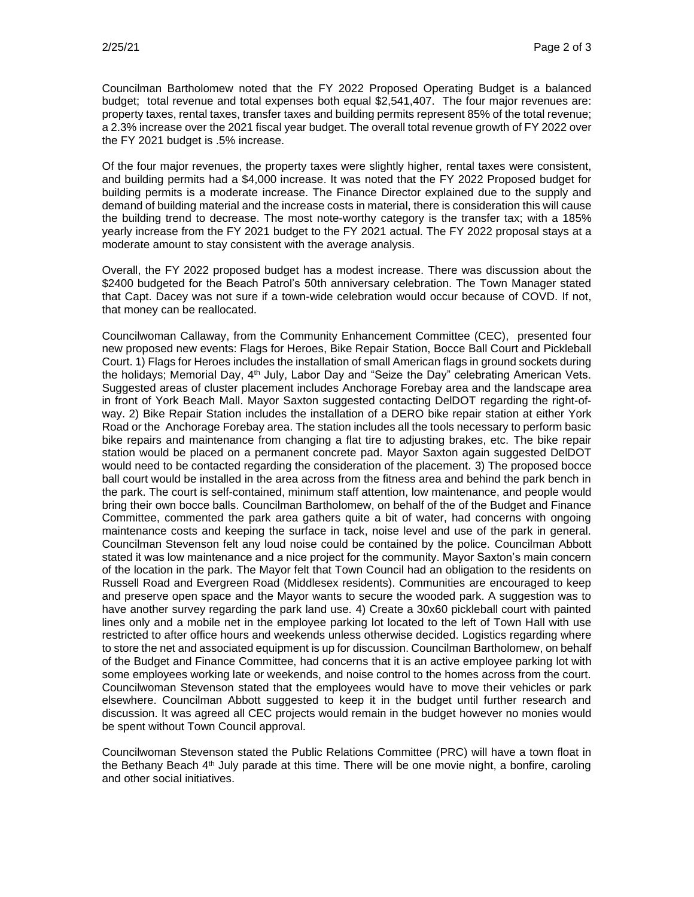Councilman Bartholomew noted that the FY 2022 Proposed Operating Budget is a balanced budget; total revenue and total expenses both equal \$2,541,407. The four major revenues are: property taxes, rental taxes, transfer taxes and building permits represent 85% of the total revenue; a 2.3% increase over the 2021 fiscal year budget. The overall total revenue growth of FY 2022 over the FY 2021 budget is .5% increase.

Of the four major revenues, the property taxes were slightly higher, rental taxes were consistent, and building permits had a \$4,000 increase. It was noted that the FY 2022 Proposed budget for building permits is a moderate increase. The Finance Director explained due to the supply and demand of building material and the increase costs in material, there is consideration this will cause the building trend to decrease. The most note-worthy category is the transfer tax; with a 185% yearly increase from the FY 2021 budget to the FY 2021 actual. The FY 2022 proposal stays at a moderate amount to stay consistent with the average analysis.

Overall, the FY 2022 proposed budget has a modest increase. There was discussion about the \$2400 budgeted for the Beach Patrol's 50th anniversary celebration. The Town Manager stated that Capt. Dacey was not sure if a town-wide celebration would occur because of COVD. If not, that money can be reallocated.

Councilwoman Callaway, from the Community Enhancement Committee (CEC), presented four new proposed new events: Flags for Heroes, Bike Repair Station, Bocce Ball Court and Pickleball Court. 1) Flags for Heroes includes the installation of small American flags in ground sockets during the holidays; Memorial Day, 4<sup>th</sup> July, Labor Day and "Seize the Day" celebrating American Vets. Suggested areas of cluster placement includes Anchorage Forebay area and the landscape area in front of York Beach Mall. Mayor Saxton suggested contacting DelDOT regarding the right-ofway. 2) Bike Repair Station includes the installation of a DERO bike repair station at either York Road or the Anchorage Forebay area. The station includes all the tools necessary to perform basic bike repairs and maintenance from changing a flat tire to adjusting brakes, etc. The bike repair station would be placed on a permanent concrete pad. Mayor Saxton again suggested DelDOT would need to be contacted regarding the consideration of the placement. 3) The proposed bocce ball court would be installed in the area across from the fitness area and behind the park bench in the park. The court is self-contained, minimum staff attention, low maintenance, and people would bring their own bocce balls. Councilman Bartholomew, on behalf of the of the Budget and Finance Committee, commented the park area gathers quite a bit of water, had concerns with ongoing maintenance costs and keeping the surface in tack, noise level and use of the park in general. Councilman Stevenson felt any loud noise could be contained by the police. Councilman Abbott stated it was low maintenance and a nice project for the community. Mayor Saxton's main concern of the location in the park. The Mayor felt that Town Council had an obligation to the residents on Russell Road and Evergreen Road (Middlesex residents). Communities are encouraged to keep and preserve open space and the Mayor wants to secure the wooded park. A suggestion was to have another survey regarding the park land use. 4) Create a 30x60 pickleball court with painted lines only and a mobile net in the employee parking lot located to the left of Town Hall with use restricted to after office hours and weekends unless otherwise decided. Logistics regarding where to store the net and associated equipment is up for discussion. Councilman Bartholomew, on behalf of the Budget and Finance Committee, had concerns that it is an active employee parking lot with some employees working late or weekends, and noise control to the homes across from the court. Councilwoman Stevenson stated that the employees would have to move their vehicles or park elsewhere. Councilman Abbott suggested to keep it in the budget until further research and discussion. It was agreed all CEC projects would remain in the budget however no monies would be spent without Town Council approval.

Councilwoman Stevenson stated the Public Relations Committee (PRC) will have a town float in the Bethany Beach 4<sup>th</sup> July parade at this time. There will be one movie night, a bonfire, caroling and other social initiatives.